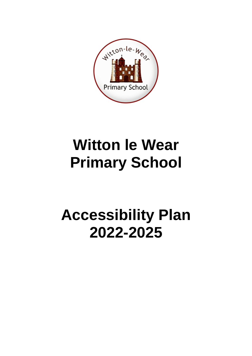

# **Witton le Wear Primary School**

# **Accessibility Plan 2022-2025**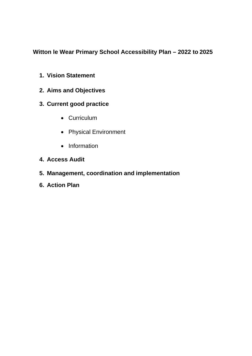# **Witton le Wear Primary School Accessibility Plan – 2022 to 2025**

- **1. Vision Statement**
- **2. Aims and Objectives**
- **3. Current good practice**
	- Curriculum
	- Physical Environment
	- Information
- **4. Access Audit**
- **5. Management, coordination and implementation**
- **6. Action Plan**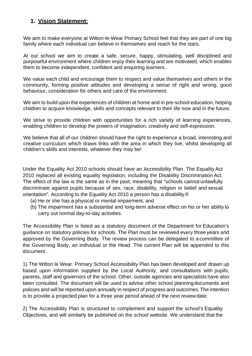## **1. Vision Statement:**

We aim to make everyone at Witton-le-Wear Primary School feel that they are part of one big family where each individual can believe in themselves and reach for the stars.

At our school we aim to create a safe, secure, happy, stimulating, well disciplined and purposeful environment where children enjoy their learning and are motivated, which enables them to become independent, confident and enquiring learners.

We value each child and encourage them to respect and value themselves and others in the community, forming positive attitudes and developing a sense of right and wrong, good behaviour, consideration for others and care of the environment.

We aim to build upon the experiences of children at home and in pre-school education, helping children to acquire knowledge, skills and concepts relevant to their life now and in the future.

We strive to provide children with opportunities for a rich variety of learning experiences, enabling children to develop the powers of imagination, creativity and self-expression.

We believe that all of our children should have the right to experience a broad, interesting and creative curriculum which draws links with the area in which they live, whilst developing all children's skills and interests, whatever they may be!

Under the Equality Act 2010 schools should have an Accessibility Plan. The EqualityAct 2010 replaced all existing equality legislation, including the Disability Discrimination Act. The effect of the law is the same as in the past, meaning that "schools cannot unlawfully discriminate against pupils because of sex, race, disability, religion or belief and sexual orientation". According to the Equality Act 2010 a person has a disability if:

- (a) He or she has a physical or mental impairment, and
- (b) The impairment has a substantial and long-term adverse effect on his or her ability to carry out normal day-to-day activities.

The Accessibility Plan is listed as a statutory document of the Department for Education's guidance on statutory policies for schools. The Plan must be reviewed every three years and approved by the Governing Body. The review process can be delegated to a committee of the Governing Body, an individual or the Head. The current Plan will be appended to this document .

1) The Witton le Wear. Primary School Accessibility Plan has been developed and drawn up based upon information supplied by the Local Authority, and consultations with pupils, parents, staff and governors of the school. Other, outside agencies and specialists have also been consulted. The document will be used to advise other school planningdocuments and policies and will be reported upon annually in respect of progress and outcomes.The intention is to provide a projected plan for a three year period ahead of the next review date.

2) The Accessibility Plan is structured to complement and support the school's Equality Objectives, and will similarly be published on the school website. We understand that the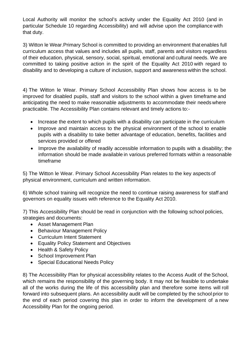Local Authority will monitor the school's activity under the Equality Act 2010 (and in particular Schedule 10 regarding Accessibility) and will advise upon the compliance with that duty.

3) Witton le Wear.Primary School is committed to providing an environment that enables full curriculum access that values and includes all pupils, staff, parents and visitors regardless of their education, physical, sensory, social, spiritual, emotional and cultural needs. We are committed to taking positive action in the spirit of the Equality Act 2010 with regard to disability and to developing a culture of inclusion, support and awareness within the school.

4) The Witton le Wear. Primary School Accessibility Plan shows how access is to be improved for disabled pupils, staff and visitors to the school within a given timeframe and anticipating the need to make reasonable adjustments to accommodate their needs where practicable. The Accessibility Plan contains relevant and timely actions to:-

- Increase the extent to which pupils with a disability can participate in the curriculum
- Improve and maintain access to the physical environment of the school to enable pupils with a disability to take better advantage of education, benefits, facilities and services provided or offered
- Improve the availability of readily accessible information to pupils with a disability; the information should be made available in various preferred formats within a reasonable timeframe

5) The Witton le Wear. Primary School Accessibility Plan relates to the key aspects of physical environment, curriculum and written information.

6) Whole school training will recognize the need to continue raising awareness for staff and governors on equality issues with reference to the Equality Act 2010.

7) This Accessibility Plan should be read in conjunction with the following school policies, strategies and documents:

- Asset Management Plan
- Behaviour Management Policy
- Curriculum Intent Statement
- Equality Policy Statement and Objectives
- Health & Safety Policy
- School Improvement Plan
- Special Educational Needs Policy

8) The Accessibility Plan for physical accessibility relates to the Access Audit of the School, which remains the responsibility of the governing body. It may not be feasible to undertake all of the works during the life of this accessibility plan and therefore some items will roll forward into subsequent plans. An accessibility audit will be completed by the school prior to the end of each period covering this plan in order to inform the development of a new Accessibility Plan for the ongoing period.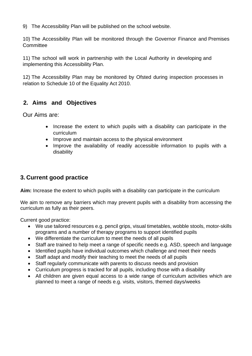9) The Accessibility Plan will be published on the school website.

10) The Accessibility Plan will be monitored through the Governor Finance and Premises **Committee** 

11) The school will work in partnership with the Local Authority in developing and implementing this Accessibility Plan.

12) The Accessibility Plan may be monitored by Ofsted during inspection processes in relation to Schedule 10 of the Equality Act 2010.

## **2. Aims and Objectives**

Our Aims are:

- Increase the extent to which pupils with a disability can participate in the curriculum
- Improve and maintain access to the physical environment
- Improve the availability of readily accessible information to pupils with a disability

## **3. Current good practice**

**Aim:** Increase the extent to which pupils with a disability can participate in the curriculum

We aim to remove any barriers which may prevent pupils with a disability from accessing the curriculum as fully as their peers.

Current good practice:

- We use tailored resources e.g. pencil grips, visual timetables, wobble stools, motor-skills programs and a number of therapy programs to support identified pupils
- We differentiate the curriculum to meet the needs of all pupils
- Staff are trained to help meet a range of specific needs e.g. ASD, speech and language
- Identified pupils have individual outcomes which challenge and meet their needs
- Staff adapt and modify their teaching to meet the needs of all pupils
- Staff regularly communicate with parents to discuss needs and provision
- Curriculum progress is tracked for all pupils, including those with a disability
- All children are given equal access to a wide range of curriculum activities which are planned to meet a range of needs e.g. visits, visitors, themed days/weeks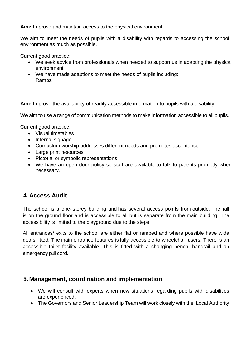**Aim:** Improve and maintain access to the physical environment

We aim to meet the needs of pupils with a disability with regards to accessing the school environment as much as possible.

Current good practice:

- We seek advice from professionals when needed to support us in adapting the physical environment
- We have made adaptions to meet the needs of pupils including: Ramps

**Aim:** Improve the availability of readily accessible information to pupils with a disability

We aim to use a range of communication methods to make information accessible to all pupils.

Current good practice:

- Visual timetables
- Internal signage
- Curriuclum worship addresses different needs and promotes acceptance
- Large print resources
- Pictorial or symbolic representations
- We have an open door policy so staff are available to talk to parents promptly when necessary.

#### **4. Access Audit**

The school is a one- storey building and has several access points from outside. The hall is on the ground floor and is accessible to all but is separate from the main building. The accessibility is limited to the playground due to the steps.

All entrances/ exits to the school are either flat or ramped and where possible have wide doors fitted. The main entrance features is fully accessible to wheelchair users. There is an accessible toilet facility available. This is fitted with a changing bench, handrail and an emergency pull cord.

#### **5. Management, coordination and implementation**

- We will consult with experts when new situations regarding pupils with disabilities are experienced.
- The Governors and Senior Leadership Team will work closely with the Local Authority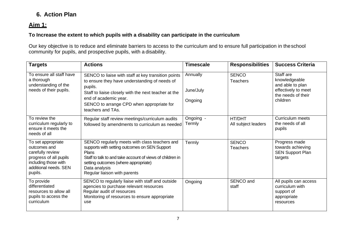# **6. Action Plan**

## **Aim 1:**

#### **To Increase the extent to which pupils with a disability can participate in the curriculum**

Our key objective is to reduce and eliminate barriers to access to the curriculum and to ensure full participation in theschool community for pupils, and prospective pupils, with a disability.

| <b>Targets</b>                                                                                                                               | <b>Actions</b>                                                                                                                                                                                                                                                     | <b>Timescale</b>                 | <b>Responsibilities</b>         | <b>Success Criteria</b>                                                                                 |
|----------------------------------------------------------------------------------------------------------------------------------------------|--------------------------------------------------------------------------------------------------------------------------------------------------------------------------------------------------------------------------------------------------------------------|----------------------------------|---------------------------------|---------------------------------------------------------------------------------------------------------|
| To ensure all staff have<br>a thorough<br>understanding of the<br>needs of their pupils.                                                     | SENCO to liaise with staff at key transition points<br>to ensure they have understanding of needs of<br>pupils.<br>Staff to liaise closely with the next teacher at the<br>end of academic year.<br>SENCO to arrange CPD when appropriate for<br>teachers and TAs. | Annually<br>June/July<br>Ongoing | <b>SENCO</b><br><b>Teachers</b> | Staff are<br>knowledgeable<br>and able to plan<br>effectively to meet<br>the needs of their<br>children |
| To review the<br>curriculum regularly to<br>ensure it meets the<br>needs of all                                                              | Regular staff review meetings/curriculum audits<br>followed by amendments to curriculum as needed                                                                                                                                                                  | Ongoing -<br>Termly              | HT/DHT<br>All subject leaders   | Curriculum meets<br>the needs of all<br>pupils                                                          |
| To set appropriate<br>outcomes and<br>carefully review<br>progress of all pupils<br>including those with<br>additional needs, SEN<br>pupils. | SENCO regularly meets with class teachers and<br>supports with setting outcomes on SEN Support<br>Plans<br>Staff to talk to and take account of views of children in<br>setting outcomes (where appropriate)<br>Data analysis<br>Regular liaison with parents      | Termly                           | <b>SENCO</b><br><b>Teachers</b> | Progress made<br>towards achieving<br><b>SEN Support Plan</b><br>targets                                |
| To provide<br>differentiated<br>resources to allow all<br>pupils to access the<br>curriculum                                                 | SENCO to regularly liaise with staff and outside<br>agencies to purchase relevant resources<br>Regular audit of resources<br>Monitoring of resources to ensure appropriate<br>use                                                                                  | Ongoing                          | SENCO and<br>staff              | All pupils can access<br>curriculum with<br>support of<br>appropriate<br>resources                      |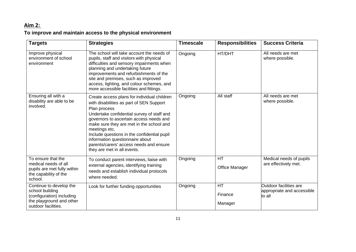# **Aim 2:**

# **To improve and maintain access to the physical environment**

| <b>Targets</b>                                                                                                             | <b>Strategies</b>                                                                                                                                                                                                                                                                                                                                                                                                         | <b>Timescale</b> | <b>Responsibilities</b>     | <b>Success Criteria</b>                                        |
|----------------------------------------------------------------------------------------------------------------------------|---------------------------------------------------------------------------------------------------------------------------------------------------------------------------------------------------------------------------------------------------------------------------------------------------------------------------------------------------------------------------------------------------------------------------|------------------|-----------------------------|----------------------------------------------------------------|
| Improve physical<br>environment of school<br>environment                                                                   | The school will take account the needs of<br>pupils, staff and visitors with physical<br>difficulties and sensory impairments when<br>planning and undertaking future<br>improvements and refurbishments of the<br>site and premises, such as improved<br>access, lighting, and colour schemes, and<br>more accessible facilities and fittings.                                                                           | Ongoing          | HT/DHT                      | All needs are met<br>where possible.                           |
| Ensuring all with a<br>disability are able to be<br>involved.                                                              | Create access plans for individual children<br>with disabilities as part of SEN Support<br>Plan process<br>Undertake confidential survey of staff and<br>governors to ascertain access needs and<br>make sure they are met in the school and<br>meetings etc.<br>Include questions in the confidential pupil<br>information questionnaire about<br>parents/carers' access needs and ensure<br>they are met in all events. | Ongoing          | All staff                   | All needs are met<br>where possible.                           |
| To ensure that the<br>medical needs of all<br>pupils are met fully within<br>the capability of the<br>school.              | To conduct parent interviews, liaise with<br>external agencies, identifying training<br>needs and establish individual protocols<br>where needed.                                                                                                                                                                                                                                                                         | Ongoing          | HT<br><b>Office Manager</b> | Medical needs of pupils<br>are effectively met.                |
| Continue to develop the<br>school building<br>(configuration) including<br>the playground and other<br>outdoor facilities. | Look for further funding opportunities                                                                                                                                                                                                                                                                                                                                                                                    | Ongoing          | HT<br>Finance<br>Manager    | Outdoor facilities are<br>appropriate and accessible<br>to all |